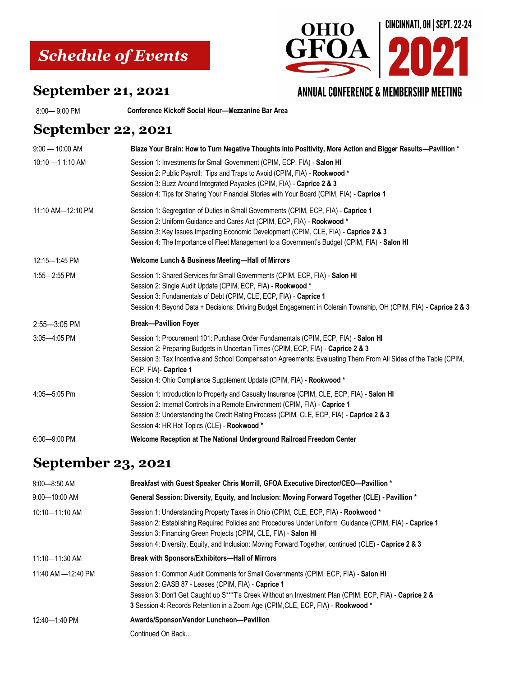# *Schedule of Events*



#### **September 21, 2021**

8:00— 9:00 PM **Conference Kickoff Social Hour—Mezzanine Bar Area** 

#### **September 22, 2021**

| $9:00 - 10:00$ AM  | Blaze Your Brain: How to Turn Negative Thoughts into Positivity, More Action and Bigger Results-Pavillion *                                                                                                                                                                                                                                                                                 |
|--------------------|---------------------------------------------------------------------------------------------------------------------------------------------------------------------------------------------------------------------------------------------------------------------------------------------------------------------------------------------------------------------------------------------|
| $10:10 - 11:10$ AM | Session 1: Investments for Small Government (CPIM, ECP, FIA) - Salon HI<br>Session 2: Public Payroll: Tips and Traps to Avoid (CPIM, FIA) - Rookwood *<br>Session 3: Buzz Around Integrated Payables (CPIM, FIA) - Caprice 2 & 3<br>Session 4: Tips for Sharing Your Financial Stories with Your Board (CPIM, FIA) - Caprice 1                                                              |
| 11:10 AM-12:10 PM  | Session 1: Segregation of Duties in Small Governments (CPIM, ECP, FIA) - Caprice 1<br>Session 2: Uniform Guidance and Cares Act (CPIM, ECP, FIA) - Rookwood *<br>Session 3: Key Issues Impacting Economic Development (CPIM, CLE, FIA) - Caprice 2 & 3<br>Session 4: The Importance of Fleet Management to a Government's Budget (CPIM, FIA) - Salon HI                                     |
| 12:15-1:45 PM      | Welcome Lunch & Business Meeting-Hall of Mirrors                                                                                                                                                                                                                                                                                                                                            |
| 1:55-2:55 PM       | Session 1: Shared Services for Small Governments (CPIM, ECP, FIA) - Salon HI<br>Session 2: Single Audit Update (CPIM, ECP, FIA) - Rookwood *<br>Session 3: Fundamentals of Debt (CPIM, CLE, ECP, FIA) - Caprice 1<br>Session 4: Beyond Data + Decisions: Driving Budget Engagement in Colerain Township, OH (CPIM, FIA) - Caprice 2 & 3                                                     |
| 2:55-3:05 PM       | <b>Break-Pavillion Foyer</b>                                                                                                                                                                                                                                                                                                                                                                |
| 3:05-4:05 PM       | Session 1: Procurement 101: Purchase Order Fundamentals (CPIM, ECP, FIA) - Salon HI<br>Session 2: Preparing Budgets in Uncertain Times (CPIM, ECP, FIA) - Caprice 2 & 3<br>Session 3: Tax Incentive and School Compensation Agreements: Evaluating Them From All Sides of the Table (CPIM,<br>ECP, FIA)- Caprice 1<br>Session 4: Ohio Compliance Supplement Update (CPIM, FIA) - Rookwood * |
| 4:05-5:05 Pm       | Session 1: Introduction to Property and Casualty Insurance (CPIM, CLE, ECP, FIA) - Salon HI<br>Session 2: Internal Controls in a Remote Environment (CPIM, FIA) - Caprice 1<br>Session 3: Understanding the Credit Rating Process (CPIM, CLE, ECP, FIA) - Caprice 2 & 3<br>Session 4: HR Hot Topics (CLE) - Rookwood *                                                                      |
| 6:00-9:00 PM       | Welcome Reception at The National Underground Railroad Freedom Center                                                                                                                                                                                                                                                                                                                       |

### **September 23, 2021**

| $8:00 - 8:50$ AM    | Breakfast with Guest Speaker Chris Morrill, GFOA Executive Director/CEO-Pavillion *                                                                                                                                                                                                                                                                                       |
|---------------------|---------------------------------------------------------------------------------------------------------------------------------------------------------------------------------------------------------------------------------------------------------------------------------------------------------------------------------------------------------------------------|
| $9:00 - 10:00$ AM   | General Session: Diversity, Equity, and Inclusion: Moving Forward Together (CLE) - Pavillion *                                                                                                                                                                                                                                                                            |
| 10:10-11:10 AM      | Session 1: Understanding Property Taxes in Ohio (CPIM, CLE, ECP, FIA) - Rookwood *<br>Session 2: Establishing Required Policies and Procedures Under Uniform Guidance (CPIM, FIA) - Caprice 1<br>Session 3: Financing Green Projects (CPIM, CLE, FIA) - Salon HI<br>Session 4: Diversity, Equity, and Inclusion: Moving Forward Together, continued (CLE) - Caprice 2 & 3 |
| 11:10-11:30 AM      | Break with Sponsors/Exhibitors-Hall of Mirrors                                                                                                                                                                                                                                                                                                                            |
| 11:40 AM - 12:40 PM | Session 1: Common Audit Comments for Small Governments (CPIM, ECP, FIA) - Salon HI<br>Session 2: GASB 87 - Leases (CPIM, FIA) - Caprice 1<br>Session 3: Don't Get Caught up S***T's Creek Without an Investment Plan (CPIM, ECP, FIA) - Caprice 2 &<br>3 Session 4: Records Retention in a Zoom Age (CPIM, CLE, ECP, FIA) - Rookwood *                                    |
| 12:40-1:40 PM       | Awards/Sponsor/Vendor Luncheon-Pavillion                                                                                                                                                                                                                                                                                                                                  |
|                     | Continued On Back                                                                                                                                                                                                                                                                                                                                                         |